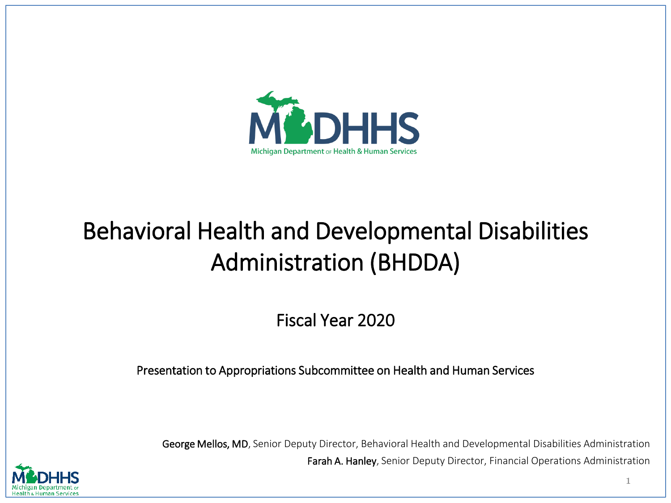

# Behavioral Health and Developmental Disabilities Administration (BHDDA)

Fiscal Year 2020

Presentation to Appropriations Subcommittee on Health and Human Services

George Mellos, MD, Senior Deputy Director, Behavioral Health and Developmental Disabilities Administration Farah A. Hanley, Senior Deputy Director, Financial Operations Administration

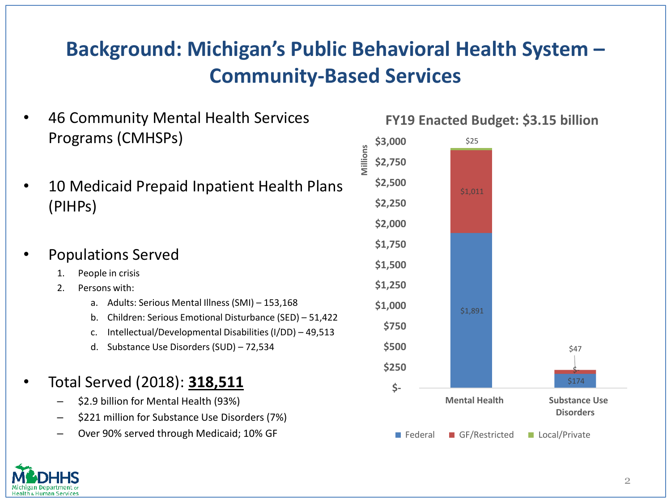## **Background: Michigan's Public Behavioral Health System – Community-Based Services**

- 46 Community Mental Health Services Programs (CMHSPs)
- 10 Medicaid Prepaid Inpatient Health Plans (PIHPs)

#### • Populations Served

- 1. People in crisis
- 2. Persons with:
	- a. Adults: Serious Mental Illness (SMI) 153,168
	- b. Children: Serious Emotional Disturbance (SED) 51,422
	- c. Intellectual/Developmental Disabilities (I/DD) 49,513
	- d. Substance Use Disorders (SUD) 72,534

### • Total Served (2018): **318,511**

- \$2.9 billion for Mental Health (93%)
- \$221 million for Substance Use Disorders (7%)
- Over 90% served through Medicaid; 10% GF

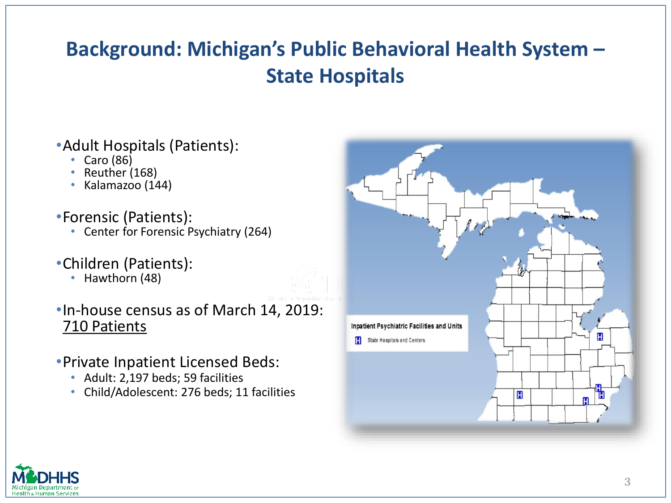## **Background: Michigan's Public Behavioral Health System – State Hospitals**

#### •Adult Hospitals (Patients):

- Caro (86)
- Reuther (168)
- Kalamazoo (144)
- •Forensic (Patients):
	- Center for Forensic Psychiatry (264)

### •Children (Patients):

• Hawthorn (48)

#### •In-house census as of March 14, 2019: 710 Patients

- •Private Inpatient Licensed Beds:
	- Adult: 2,197 beds; 59 facilities
	- Child/Adolescent: 276 beds; 11 facilities



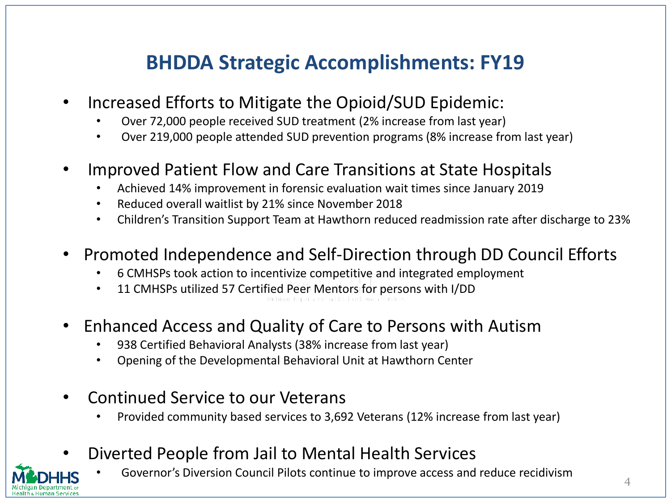## **BHDDA Strategic Accomplishments: FY19**

- Increased Efforts to Mitigate the Opioid/SUD Epidemic:
	- Over 72,000 people received SUD treatment (2% increase from last year)
	- Over 219,000 people attended SUD prevention programs (8% increase from last year)
- Improved Patient Flow and Care Transitions at State Hospitals
	- Achieved 14% improvement in forensic evaluation wait times since January 2019
	- Reduced overall waitlist by 21% since November 2018
	- Children's Transition Support Team at Hawthorn reduced readmission rate after discharge to 23%
- Promoted Independence and Self-Direction through DD Council Efforts
	- 6 CMHSPs took action to incentivize competitive and integrated employment
	- 11 CMHSPs utilized 57 Certified Peer Mentors for persons with I/DD
- Enhanced Access and Quality of Care to Persons with Autism
	- 938 Certified Behavioral Analysts (38% increase from last year)
	- Opening of the Developmental Behavioral Unit at Hawthorn Center
- Continued Service to our Veterans
	- Provided community based services to 3,692 Veterans (12% increase from last year)
- Diverted People from Jail to Mental Health Services

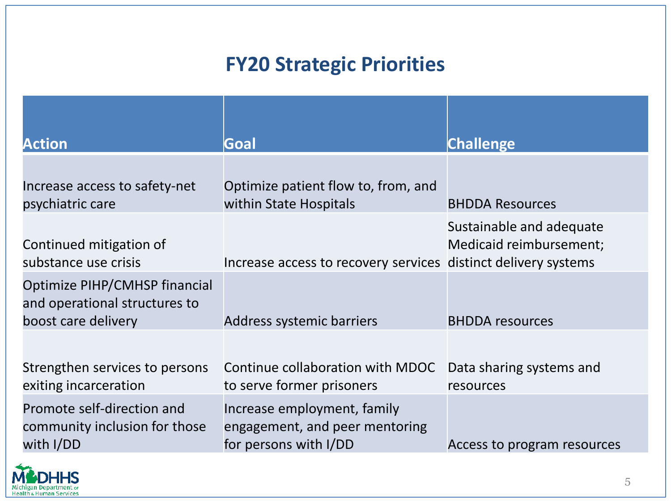## **FY20 Strategic Priorities**

| <b>Action</b>                                                                         | Goal                                                                                   | <b>Challenge</b>                                    |
|---------------------------------------------------------------------------------------|----------------------------------------------------------------------------------------|-----------------------------------------------------|
| Increase access to safety-net<br>psychiatric care                                     | Optimize patient flow to, from, and<br>within State Hospitals                          | <b>BHDDA Resources</b>                              |
| Continued mitigation of<br>substance use crisis                                       | Increase access to recovery services distinct delivery systems                         | Sustainable and adequate<br>Medicaid reimbursement; |
| Optimize PIHP/CMHSP financial<br>and operational structures to<br>boost care delivery | Address systemic barriers                                                              | <b>BHDDA</b> resources                              |
| Strengthen services to persons<br>exiting incarceration                               | Continue collaboration with MDOC<br>to serve former prisoners                          | Data sharing systems and<br>resources               |
| Promote self-direction and<br>community inclusion for those<br>with I/DD              | Increase employment, family<br>engagement, and peer mentoring<br>for persons with I/DD | Access to program resources                         |

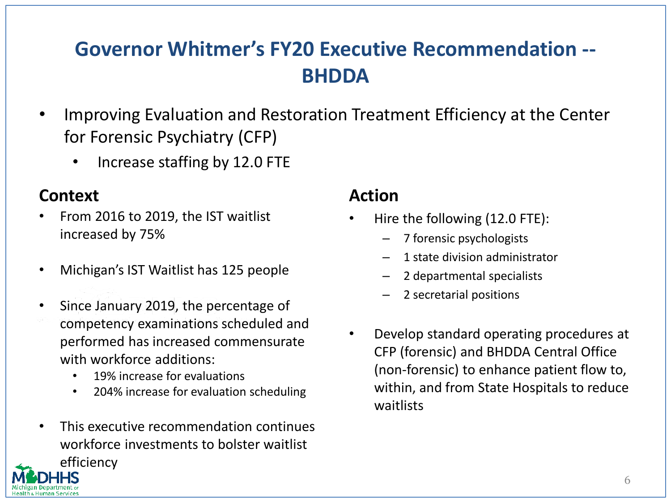## **Governor Whitmer's FY20 Executive Recommendation -- BHDDA**

- Improving Evaluation and Restoration Treatment Efficiency at the Center for Forensic Psychiatry (CFP)
	- Increase staffing by 12.0 FTE

#### **Context Action**

- From 2016 to 2019, the IST waitlist increased by 75%
- Michigan's IST Waitlist has 125 people
- Since January 2019, the percentage of competency examinations scheduled and performed has increased commensurate with workforce additions:
	- 19% increase for evaluations
	- 204% increase for evaluation scheduling
- This executive recommendation continues workforce investments to bolster waitlist efficiency

- Hire the following (12.0 FTE):
	- 7 forensic psychologists
	- 1 state division administrator
	- 2 departmental specialists
	- 2 secretarial positions
- Develop standard operating procedures at CFP (forensic) and BHDDA Central Office (non-forensic) to enhance patient flow to, within, and from State Hospitals to reduce waitlists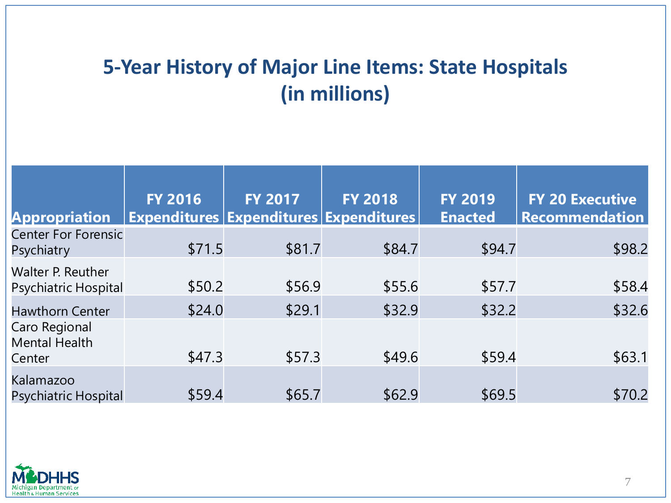## **5-Year History of Major Line Items: State Hospitals (in millions)**

| <b>Appropriation</b>                      | <b>FY 2016</b> | <b>FY 2017</b> | <b>FY 2018</b><br>Expenditures   Expenditures   Expenditures | <b>FY 2019</b><br><b>Enacted</b> | <b>FY 20 Executive</b><br><b>Recommendation</b> |
|-------------------------------------------|----------------|----------------|--------------------------------------------------------------|----------------------------------|-------------------------------------------------|
| <b>Center For Forensic</b><br>Psychiatry  | \$71.5         | \$81.7         | \$84.7                                                       | \$94.7                           | \$98.2                                          |
| Walter P. Reuther<br>Psychiatric Hospital | \$50.2         | \$56.9         | \$55.6                                                       | \$57.7                           | \$58.4                                          |
| <b>Hawthorn Center</b><br>Caro Regional   | \$24.0         | \$29.1         | \$32.9                                                       | \$32.2                           | \$32.6                                          |
| <b>Mental Health</b><br>Center            | \$47.3         | \$57.3         | \$49.6                                                       | \$59.4                           | \$63.1                                          |
| Kalamazoo<br><b>Psychiatric Hospital</b>  | \$59.4         | \$65.7         | \$62.9                                                       | \$69.5                           | \$70.2                                          |

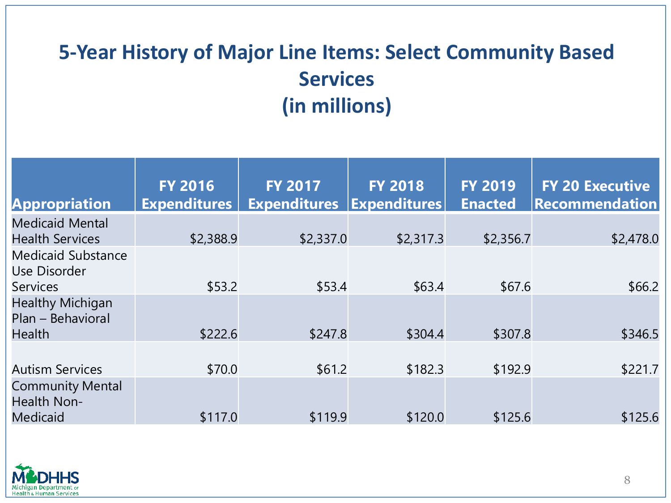# **5-Year History of Major Line Items: Select Community Based Services (in millions)**

| <b>Appropriation</b>                                          | <b>FY 2016</b><br><b>Expenditures</b> | <b>FY 2017</b><br><b>Expenditures</b> | <b>FY 2018</b><br><b>Expenditures</b> | <b>FY 2019</b><br><b>Enacted</b> | <b>FY 20 Executive</b><br>Recommendation |
|---------------------------------------------------------------|---------------------------------------|---------------------------------------|---------------------------------------|----------------------------------|------------------------------------------|
| <b>Medicaid Mental</b><br><b>Health Services</b>              | \$2,388.9                             | \$2,337.0                             | \$2,317.3                             | \$2,356.7                        | \$2,478.0                                |
| <b>Medicaid Substance</b><br>Use Disorder<br><b>Services</b>  | \$53.2                                | \$53.4                                | \$63.4                                | \$67.6                           | \$66.2                                   |
| <b>Healthy Michigan</b><br>Plan - Behavioral<br><b>Health</b> | \$222.6                               | \$247.8                               | \$304.4                               | \$307.8                          | \$346.5                                  |
| <b>Autism Services</b>                                        | \$70.0                                | \$61.2                                | \$182.3                               | \$192.9                          | \$221.7                                  |
| <b>Community Mental</b><br>Health Non-<br><b>Medicaid</b>     | \$117.0                               | \$119.9                               | \$120.0                               | \$125.6                          | \$125.6                                  |